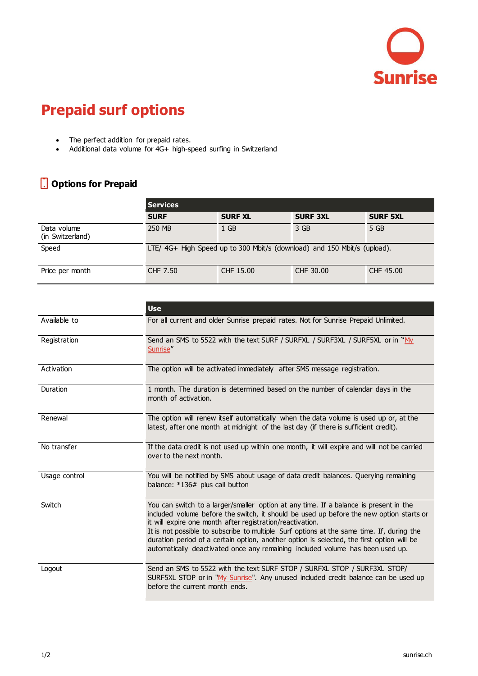

## **Prepaid surf options**

- The perfect addition for prepaid rates.
- Additional data volume for 4G+ high-speed surfing in Switzerland

## **Options for Prepaid**

|                                 | <b>Services</b>                                                          |                |                 |                 |
|---------------------------------|--------------------------------------------------------------------------|----------------|-----------------|-----------------|
|                                 | <b>SURF</b>                                                              | <b>SURF XL</b> | <b>SURF 3XL</b> | <b>SURF 5XL</b> |
| Data volume<br>(in Switzerland) | 250 MB                                                                   | 1 GB           | 3 GB            | 5 GB            |
| Speed                           | LTE/ 4G+ High Speed up to 300 Mbit/s (download) and 150 Mbit/s (upload). |                |                 |                 |
| Price per month                 | CHF 7.50                                                                 | CHF 15.00      | CHF 30.00       | CHF 45.00       |

|               | <b>Use</b>                                                                                                                                                                                                                                                                                                                                                                                                                                                                                                                |  |  |
|---------------|---------------------------------------------------------------------------------------------------------------------------------------------------------------------------------------------------------------------------------------------------------------------------------------------------------------------------------------------------------------------------------------------------------------------------------------------------------------------------------------------------------------------------|--|--|
| Available to  | For all current and older Sunrise prepaid rates. Not for Sunrise Prepaid Unlimited.                                                                                                                                                                                                                                                                                                                                                                                                                                       |  |  |
| Registration  | Send an SMS to 5522 with the text SURF / SURFXL / SURF3XL / SURF5XL or in "My<br>Sunrise"                                                                                                                                                                                                                                                                                                                                                                                                                                 |  |  |
| Activation    | The option will be activated immediately after SMS message registration.                                                                                                                                                                                                                                                                                                                                                                                                                                                  |  |  |
| Duration      | 1 month. The duration is determined based on the number of calendar days in the<br>month of activation.                                                                                                                                                                                                                                                                                                                                                                                                                   |  |  |
| Renewal       | The option will renew itself automatically when the data volume is used up or, at the<br>latest, after one month at midnight of the last day (if there is sufficient credit).                                                                                                                                                                                                                                                                                                                                             |  |  |
| No transfer   | If the data credit is not used up within one month, it will expire and will not be carried<br>over to the next month.                                                                                                                                                                                                                                                                                                                                                                                                     |  |  |
| Usage control | You will be notified by SMS about usage of data credit balances. Querying remaining<br>balance: *136# plus call button                                                                                                                                                                                                                                                                                                                                                                                                    |  |  |
| Switch        | You can switch to a larger/smaller option at any time. If a balance is present in the<br>included volume before the switch, it should be used up before the new option starts or<br>it will expire one month after registration/reactivation.<br>It is not possible to subscribe to multiple Surf options at the same time. If, during the<br>duration period of a certain option, another option is selected, the first option will be<br>automatically deactivated once any remaining included volume has been used up. |  |  |
| Logout        | Send an SMS to 5522 with the text SURF STOP / SURFXL STOP / SURF3XL STOP/<br>SURF5XL STOP or in "My Sunrise". Any unused included credit balance can be used up<br>before the current month ends.                                                                                                                                                                                                                                                                                                                         |  |  |